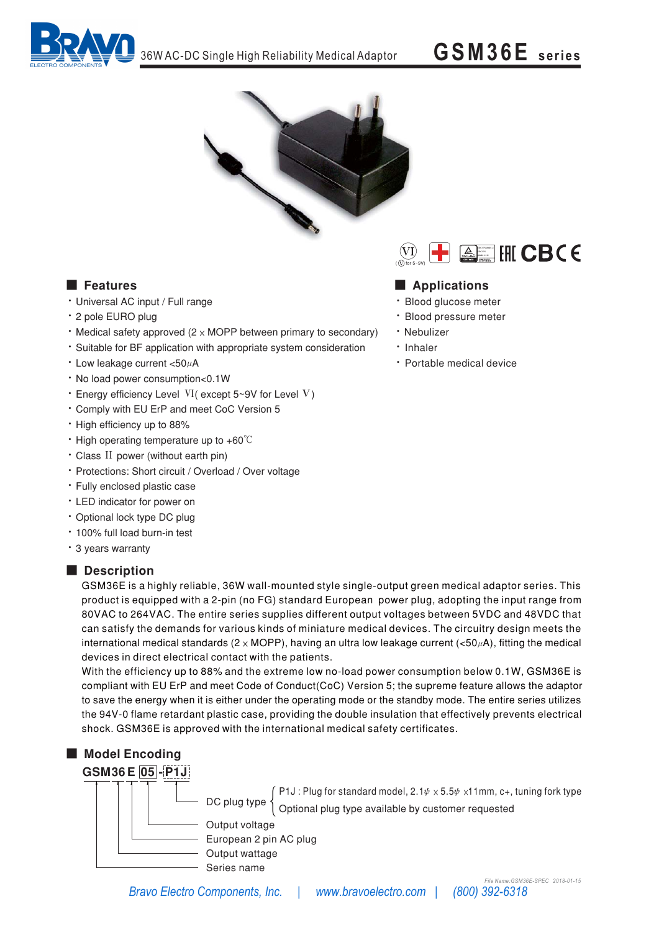

## GSM36E series



### Features

- · Universal AC input / Full range
- \* 2 pole EURO plug
- Medical safety approved ( $2 \times \text{MOPP}$  between primary to secondary)
- \* Suitable for BF application with appropriate system consideration
- $\cdot$  Low leakage current <50 $\mu$ A
- . No load power consumption<0.1W
- $\cdot$  Energy efficiency Level VI(except 5~9V for Level V)
- \* Comply with EU ErP and meet CoC Version 5
- High efficiency up to 88%
- High operating temperature up to  $+60^{\circ}$ C
- Class II power (without earth pin)
- · Protections: Short circuit / Overload / Over voltage
- Fully enclosed plastic case
- LED indicator for power on
- · Optional lock type DC plug
- · 100% full load burn-in test
- \* 3 years warranty

#### Description

GSM36E is a highly reliable, 36W wall-mounted style single-output green medical adaptor series. This product is equipped with a 2-pin (no FG) standard European power plug, adopting the input range from 80VAC to 264VAC. The entire series supplies different output voltages between 5VDC and 48VDC that can satisfy the demands for various kinds of miniature medical devices. The circuitry design meets the international medical standards ( $2 \times \text{MOPP}$ ), having an ultra low leakage current (<50 $\mu$ A), fitting the medical devices in direct electrical contact with the patients.

With the efficiency up to 88% and the extreme low no-load power consumption below 0.1W, GSM36E is compliant with EU ErP and meet Code of Conduct(CoC) Version 5; the supreme feature allows the adaptor to save the energy when it is either under the operating mode or the standby mode. The entire series utilizes the 94V-0 flame retardant plastic case, providing the double insulation that effectively prevents electrical shock. GSM36E is approved with the international medical safety certificates.



DC plug type  $\left\{\begin{array}{l} \mathsf{P1J:} \mathsf{Plug} \text{ for standard model, } 2.1\psi \times 5.5\psi \times 11\mathsf{mm}, \text{c+.} \text{ tuning fork type} \\ \text{Optional plug type available by customer requested} \end{array}\right.$ 

Output voltage European 2 pin AC plug

Output wattage

Series name

Bravo Electro Components, Inc. | www.bravoelectro.com | (800) 392-6318





### Applications

- · Blood glucose meter
- \* Blood pressure meter
- · Nebulizer
- · Inhaler
- · Portable medical device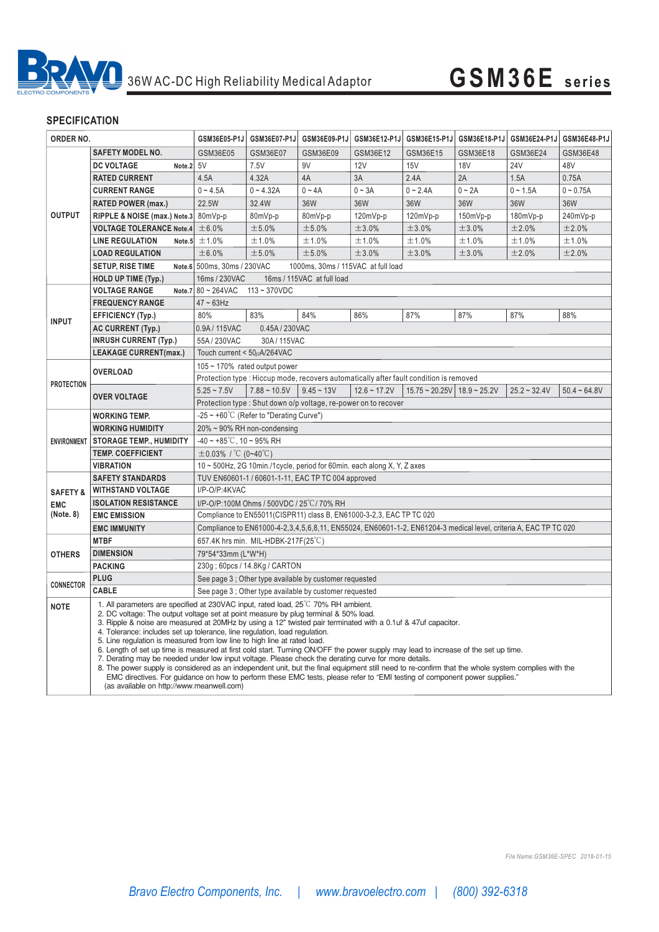

# 36W AC-DC High Reliability Medical Adaptor **GSM36E series**

| ORDER NO.                                      |                                                                                                                                                                                                                                                                                                                                                                                                                                                                                                                                                                                                                                                                                                                                                                                                                                                                                                                                                                                                                                                 | GSM36E05-P1J                                                                                                     | GSM36E07-P1J                  | GSM36E09-P1J                                                   | GSM36E12-P1J      | GSM36E15-P1J                                | GSM36E18-P1J |                | GSM36E24-P1J GSM36E48-P1J |
|------------------------------------------------|-------------------------------------------------------------------------------------------------------------------------------------------------------------------------------------------------------------------------------------------------------------------------------------------------------------------------------------------------------------------------------------------------------------------------------------------------------------------------------------------------------------------------------------------------------------------------------------------------------------------------------------------------------------------------------------------------------------------------------------------------------------------------------------------------------------------------------------------------------------------------------------------------------------------------------------------------------------------------------------------------------------------------------------------------|------------------------------------------------------------------------------------------------------------------|-------------------------------|----------------------------------------------------------------|-------------------|---------------------------------------------|--------------|----------------|---------------------------|
|                                                | <b>SAFETY MODEL NO.</b>                                                                                                                                                                                                                                                                                                                                                                                                                                                                                                                                                                                                                                                                                                                                                                                                                                                                                                                                                                                                                         | GSM36E05                                                                                                         | GSM36E07                      | GSM36E09                                                       | GSM36E12          | GSM36E15                                    | GSM36E18     | GSM36E24       | GSM36E48                  |
| <b>OUTPUT</b>                                  | <b>DC VOLTAGE</b><br>Note.2                                                                                                                                                                                                                                                                                                                                                                                                                                                                                                                                                                                                                                                                                                                                                                                                                                                                                                                                                                                                                     | 5V                                                                                                               | 7.5V                          | 9V                                                             | 12V               | 15V                                         | <b>18V</b>   | <b>24V</b>     | 48V                       |
|                                                | <b>RATED CURRENT</b>                                                                                                                                                                                                                                                                                                                                                                                                                                                                                                                                                                                                                                                                                                                                                                                                                                                                                                                                                                                                                            | 4.5A                                                                                                             | 4.32A                         | 4A                                                             | 3A                | 2.4A                                        | 2A           | 1.5A           | 0.75A                     |
|                                                | <b>CURRENT RANGE</b>                                                                                                                                                                                                                                                                                                                                                                                                                                                                                                                                                                                                                                                                                                                                                                                                                                                                                                                                                                                                                            | $0 - 4.5A$                                                                                                       | $0 - 4.32A$                   | $0 - 4A$                                                       | $0 - 3A$          | $0 - 2.4A$                                  | $0 \sim 2A$  | $0 - 1.5A$     | $0 - 0.75A$               |
|                                                | <b>RATED POWER (max.)</b>                                                                                                                                                                                                                                                                                                                                                                                                                                                                                                                                                                                                                                                                                                                                                                                                                                                                                                                                                                                                                       | 22.5W                                                                                                            | 32.4W                         | <b>36W</b>                                                     | 36W               | 36W                                         | 36W          | 36W            | 36W                       |
|                                                | RIPPLE & NOISE (max.) Note.3                                                                                                                                                                                                                                                                                                                                                                                                                                                                                                                                                                                                                                                                                                                                                                                                                                                                                                                                                                                                                    | 80mVp-p                                                                                                          | 80mVp-p                       | 80mVp-p                                                        | 120mVp-p          | 120mVp-p                                    | 150mVp-p     | 180mVp-p       | 240mVp-p                  |
|                                                | <b>VOLTAGE TOLERANCE Note.4</b>                                                                                                                                                                                                                                                                                                                                                                                                                                                                                                                                                                                                                                                                                                                                                                                                                                                                                                                                                                                                                 | ± 6.0%                                                                                                           | ±5.0%                         | ±5.0%                                                          | ±3.0%             | ±3.0%                                       | ±3.0%        | ±2.0%          | ±2.0%                     |
|                                                | <b>LINE REGULATION</b><br>Note.5                                                                                                                                                                                                                                                                                                                                                                                                                                                                                                                                                                                                                                                                                                                                                                                                                                                                                                                                                                                                                | ±1.0%                                                                                                            | ±1.0%                         | ±1.0%                                                          | ±1.0%             | ±1.0%                                       | ±1.0%        | ±1.0%          | ±1.0%                     |
|                                                | <b>LOAD REGULATION</b>                                                                                                                                                                                                                                                                                                                                                                                                                                                                                                                                                                                                                                                                                                                                                                                                                                                                                                                                                                                                                          | ± 6.0%                                                                                                           | ±5.0%                         | ±5.0%                                                          | ±3.0%             | ±3.0%                                       | ±3.0%        | ±2.0%          | ±2.0%                     |
|                                                | <b>SETUP, RISE TIME</b>                                                                                                                                                                                                                                                                                                                                                                                                                                                                                                                                                                                                                                                                                                                                                                                                                                                                                                                                                                                                                         |                                                                                                                  |                               |                                                                |                   |                                             |              |                |                           |
|                                                | <b>HOLD UP TIME (Typ.)</b>                                                                                                                                                                                                                                                                                                                                                                                                                                                                                                                                                                                                                                                                                                                                                                                                                                                                                                                                                                                                                      | Note.6 500ms, 30ms / 230VAC<br>1000ms, 30ms / 115VAC at full load<br>16ms / 230VAC<br>16ms / 115VAC at full load |                               |                                                                |                   |                                             |              |                |                           |
|                                                | <b>VOLTAGE RANGE</b>                                                                                                                                                                                                                                                                                                                                                                                                                                                                                                                                                                                                                                                                                                                                                                                                                                                                                                                                                                                                                            | Note.7 $80 \sim 264$ VAC<br>$113 - 370$ VDC                                                                      |                               |                                                                |                   |                                             |              |                |                           |
| <b>INPUT</b>                                   | <b>FREQUENCY RANGE</b>                                                                                                                                                                                                                                                                                                                                                                                                                                                                                                                                                                                                                                                                                                                                                                                                                                                                                                                                                                                                                          | $47 \sim 63$ Hz                                                                                                  |                               |                                                                |                   |                                             |              |                |                           |
|                                                | <b>EFFICIENCY (Typ.)</b>                                                                                                                                                                                                                                                                                                                                                                                                                                                                                                                                                                                                                                                                                                                                                                                                                                                                                                                                                                                                                        | 80%                                                                                                              | 83%                           | 84%                                                            | 86%               | 87%                                         | 87%          | 87%            | 88%                       |
|                                                | <b>AC CURRENT (Typ.)</b>                                                                                                                                                                                                                                                                                                                                                                                                                                                                                                                                                                                                                                                                                                                                                                                                                                                                                                                                                                                                                        | 0.9A/115VAC                                                                                                      | 0.45A / 230VAC                |                                                                |                   |                                             |              |                |                           |
|                                                | <b>INRUSH CURRENT (Typ.)</b>                                                                                                                                                                                                                                                                                                                                                                                                                                                                                                                                                                                                                                                                                                                                                                                                                                                                                                                                                                                                                    | 55A/230VAC<br>30A/115VAC                                                                                         |                               |                                                                |                   |                                             |              |                |                           |
|                                                | <b>LEAKAGE CURRENT(max.)</b>                                                                                                                                                                                                                                                                                                                                                                                                                                                                                                                                                                                                                                                                                                                                                                                                                                                                                                                                                                                                                    | Touch current < 50uA/264VAC                                                                                      |                               |                                                                |                   |                                             |              |                |                           |
| <b>PROTECTION</b>                              | <b>OVERLOAD</b>                                                                                                                                                                                                                                                                                                                                                                                                                                                                                                                                                                                                                                                                                                                                                                                                                                                                                                                                                                                                                                 | $105 \sim 170\%$ rated output power                                                                              |                               |                                                                |                   |                                             |              |                |                           |
|                                                |                                                                                                                                                                                                                                                                                                                                                                                                                                                                                                                                                                                                                                                                                                                                                                                                                                                                                                                                                                                                                                                 | Protection type : Hiccup mode, recovers automatically after fault condition is removed                           |                               |                                                                |                   |                                             |              |                |                           |
|                                                | <b>OVER VOLTAGE</b>                                                                                                                                                                                                                                                                                                                                                                                                                                                                                                                                                                                                                                                                                                                                                                                                                                                                                                                                                                                                                             | $5.25 - 7.5V$                                                                                                    | $7.88 \sim 10.5V$             | $9.45 - 13V$                                                   | $12.6 \sim 17.2V$ | $15.75 \approx 20.25V$ 18.9 $\approx 25.2V$ |              | $25.2 - 32.4V$ | $50.4 - 64.8V$            |
|                                                |                                                                                                                                                                                                                                                                                                                                                                                                                                                                                                                                                                                                                                                                                                                                                                                                                                                                                                                                                                                                                                                 |                                                                                                                  |                               | Protection type: Shut down o/p voltage, re-power on to recover |                   |                                             |              |                |                           |
| <b>ENVIRONMENT</b>                             | <b>WORKING TEMP.</b>                                                                                                                                                                                                                                                                                                                                                                                                                                                                                                                                                                                                                                                                                                                                                                                                                                                                                                                                                                                                                            | $-25 \sim +60^{\circ}$ (Refer to "Derating Curve")                                                               |                               |                                                                |                   |                                             |              |                |                           |
|                                                | <b>WORKING HUMIDITY</b>                                                                                                                                                                                                                                                                                                                                                                                                                                                                                                                                                                                                                                                                                                                                                                                                                                                                                                                                                                                                                         | 20% ~ 90% RH non-condensing                                                                                      |                               |                                                                |                   |                                             |              |                |                           |
|                                                | <b>STORAGE TEMP., HUMIDITY</b>                                                                                                                                                                                                                                                                                                                                                                                                                                                                                                                                                                                                                                                                                                                                                                                                                                                                                                                                                                                                                  | $-40 \sim +85^{\circ}$ C, 10 ~ 95% RH                                                                            |                               |                                                                |                   |                                             |              |                |                           |
|                                                | <b>TEMP. COEFFICIENT</b>                                                                                                                                                                                                                                                                                                                                                                                                                                                                                                                                                                                                                                                                                                                                                                                                                                                                                                                                                                                                                        | $\pm$ 0.03% / °C (0~40°C)                                                                                        |                               |                                                                |                   |                                             |              |                |                           |
|                                                | <b>VIBRATION</b>                                                                                                                                                                                                                                                                                                                                                                                                                                                                                                                                                                                                                                                                                                                                                                                                                                                                                                                                                                                                                                | 10 ~ 500Hz, 2G 10min./1cycle, period for 60min. each along X, Y, Z axes                                          |                               |                                                                |                   |                                             |              |                |                           |
| <b>SAFETY &amp;</b><br><b>EMC</b><br>(Note. 8) | <b>SAFETY STANDARDS</b>                                                                                                                                                                                                                                                                                                                                                                                                                                                                                                                                                                                                                                                                                                                                                                                                                                                                                                                                                                                                                         | TUV EN60601-1 / 60601-1-11, EAC TP TC 004 approved                                                               |                               |                                                                |                   |                                             |              |                |                           |
|                                                | <b>WITHSTAND VOLTAGE</b>                                                                                                                                                                                                                                                                                                                                                                                                                                                                                                                                                                                                                                                                                                                                                                                                                                                                                                                                                                                                                        | I/P-O/P:4KVAC                                                                                                    |                               |                                                                |                   |                                             |              |                |                           |
|                                                | <b>ISOLATION RESISTANCE</b>                                                                                                                                                                                                                                                                                                                                                                                                                                                                                                                                                                                                                                                                                                                                                                                                                                                                                                                                                                                                                     | I/P-O/P:100M Ohms / 500VDC / 25°C/70% RH                                                                         |                               |                                                                |                   |                                             |              |                |                           |
|                                                | <b>EMC EMISSION</b>                                                                                                                                                                                                                                                                                                                                                                                                                                                                                                                                                                                                                                                                                                                                                                                                                                                                                                                                                                                                                             | Compliance to EN55011(CISPR11) class B, EN61000-3-2,3, EAC TP TC 020                                             |                               |                                                                |                   |                                             |              |                |                           |
|                                                | <b>EMC IMMUNITY</b>                                                                                                                                                                                                                                                                                                                                                                                                                                                                                                                                                                                                                                                                                                                                                                                                                                                                                                                                                                                                                             | Compliance to EN61000-4-2,3,4,5,6,8,11, EN55024, EN60601-1-2, EN61204-3 medical level, criteria A, EAC TP TC 020 |                               |                                                                |                   |                                             |              |                |                           |
| <b>OTHERS</b>                                  | <b>MTBF</b>                                                                                                                                                                                                                                                                                                                                                                                                                                                                                                                                                                                                                                                                                                                                                                                                                                                                                                                                                                                                                                     | 657.4K hrs min. MIL-HDBK-217F(25 $\degree$ C)                                                                    |                               |                                                                |                   |                                             |              |                |                           |
|                                                | <b>DIMENSION</b>                                                                                                                                                                                                                                                                                                                                                                                                                                                                                                                                                                                                                                                                                                                                                                                                                                                                                                                                                                                                                                | 79*54*33mm (L*W*H)                                                                                               |                               |                                                                |                   |                                             |              |                |                           |
|                                                | <b>PACKING</b>                                                                                                                                                                                                                                                                                                                                                                                                                                                                                                                                                                                                                                                                                                                                                                                                                                                                                                                                                                                                                                  |                                                                                                                  | 230g; 60pcs / 14.8Kg / CARTON |                                                                |                   |                                             |              |                |                           |
| <b>CONNECTOR</b>                               | <b>PLUG</b>                                                                                                                                                                                                                                                                                                                                                                                                                                                                                                                                                                                                                                                                                                                                                                                                                                                                                                                                                                                                                                     | See page 3 : Other type available by customer requested                                                          |                               |                                                                |                   |                                             |              |                |                           |
|                                                | <b>CABLE</b>                                                                                                                                                                                                                                                                                                                                                                                                                                                                                                                                                                                                                                                                                                                                                                                                                                                                                                                                                                                                                                    |                                                                                                                  |                               | See page 3 : Other type available by customer requested        |                   |                                             |              |                |                           |
| <b>NOTE</b>                                    | 1. All parameters are specified at 230VAC input, rated load, 25 <sup>°</sup> C 70% RH ambient.<br>2. DC voltage: The output voltage set at point measure by plug terminal & 50% load.<br>3. Ripple & noise are measured at 20MHz by using a 12" twisted pair terminated with a 0.1uf & 47uf capacitor.<br>4. Tolerance: includes set up tolerance, line regulation, load regulation.<br>5. Line regulation is measured from low line to high line at rated load.<br>6. Length of set up time is measured at first cold start. Turning ON/OFF the power supply may lead to increase of the set up time.<br>7. Derating may be needed under low input voltage. Please check the derating curve for more details.<br>8. The power supply is considered as an independent unit, but the final equipment still need to re-confirm that the whole system complies with the<br>EMC directives. For quidance on how to perform these EMC tests, please refer to "EMI testing of component power supplies."<br>(as available on http://www.meanwell.com) |                                                                                                                  |                               |                                                                |                   |                                             |              |                |                           |